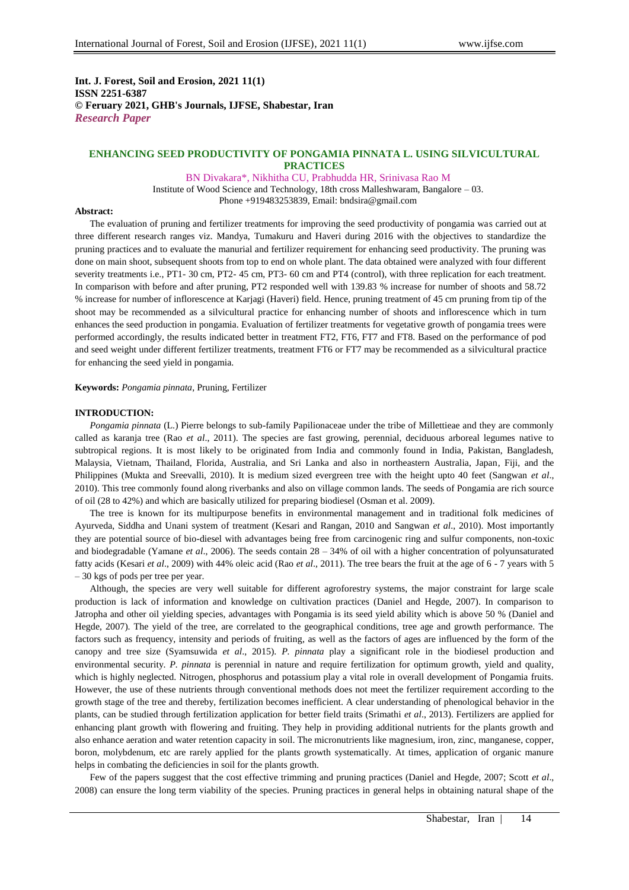**Int. J. Forest, Soil and Erosion, 2021 11(1) ISSN 2251-6387 © Feruary 2021, GHB's Journals, IJFSE, Shabestar, Iran** *Research Paper*

## **ENHANCING SEED PRODUCTIVITY OF PONGAMIA PINNATA L. USING SILVICULTURAL PRACTICES**

BN Divakara\*, Nikhitha CU, Prabhudda HR, Srinivasa Rao M Institute of Wood Science and Technology, 18th cross Malleshwaram, Bangalore – 03. Phone +919483253839, Email: bndsira@gmail.com

**Abstract:**

The evaluation of pruning and fertilizer treatments for improving the seed productivity of pongamia was carried out at three different research ranges viz. Mandya, Tumakuru and Haveri during 2016 with the objectives to standardize the pruning practices and to evaluate the manurial and fertilizer requirement for enhancing seed productivity. The pruning was done on main shoot, subsequent shoots from top to end on whole plant. The data obtained were analyzed with four different severity treatments i.e., PT1- 30 cm, PT2- 45 cm, PT3- 60 cm and PT4 (control), with three replication for each treatment. In comparison with before and after pruning, PT2 responded well with 139.83 % increase for number of shoots and 58.72 % increase for number of inflorescence at Karjagi (Haveri) field. Hence, pruning treatment of 45 cm pruning from tip of the shoot may be recommended as a silvicultural practice for enhancing number of shoots and inflorescence which in turn enhances the seed production in pongamia. Evaluation of fertilizer treatments for vegetative growth of pongamia trees were performed accordingly, the results indicated better in treatment FT2, FT6, FT7 and FT8. Based on the performance of pod and seed weight under different fertilizer treatments, treatment FT6 or FT7 may be recommended as a silvicultural practice for enhancing the seed yield in pongamia.

**Keywords:** *Pongamia pinnata*, Pruning, Fertilizer

## **INTRODUCTION:**

*Pongamia pinnata* (L.) Pierre belongs to sub-family Papilionaceae under the tribe of Millettieae and they are commonly called as karanja tree (Rao *et al*., 2011). The species are fast growing, perennial, deciduous arboreal legumes native to subtropical regions. It is most likely to be originated from India and commonly found in India, Pakistan, Bangladesh, Malaysia, Vietnam, Thailand, Florida, Australia, and Sri Lanka and also in northeastern Australia, Japan, Fiji, and the Philippines (Mukta and Sreevalli, 2010). It is medium sized evergreen tree with the height upto 40 feet (Sangwan *et al*., 2010). This tree commonly found along riverbanks and also on village common lands. The seeds of Pongamia are rich source of oil (28 to 42%) and which are basically utilized for preparing biodiesel (Osman et al. 2009).

The tree is known for its multipurpose benefits in environmental management and in traditional folk medicines of Ayurveda, Siddha and Unani system of treatment (Kesari and Rangan, 2010 and Sangwan *et al*., 2010). Most importantly they are potential source of bio-diesel with advantages being free from carcinogenic ring and sulfur components, non-toxic and biodegradable (Yamane *et al*., 2006). The seeds contain 28 – 34% of oil with a higher concentration of polyunsaturated fatty acids (Kesari *et al*., 2009) with 44% oleic acid (Rao *et al*., 2011). The tree bears the fruit at the age of 6 - 7 years with 5 – 30 kgs of pods per tree per year.

Although, the species are very well suitable for different agroforestry systems, the major constraint for large scale production is lack of information and knowledge on cultivation practices (Daniel and Hegde, 2007). In comparison to Jatropha and other oil yielding species, advantages with Pongamia is its seed yield ability which is above 50 % (Daniel and Hegde, 2007). The yield of the tree, are correlated to the geographical conditions, tree age and growth performance. The factors such as frequency, intensity and periods of fruiting, as well as the factors of ages are influenced by the form of the canopy and tree size (Syamsuwida *et al*., 2015). *P. pinnata* play a significant role in the biodiesel production and environmental security. *P. pinnata* is perennial in nature and require fertilization for optimum growth, yield and quality, which is highly neglected. Nitrogen, phosphorus and potassium play a vital role in overall development of Pongamia fruits. However, the use of these nutrients through conventional methods does not meet the fertilizer requirement according to the growth stage of the tree and thereby, fertilization becomes inefficient. A clear understanding of phenological behavior in the plants, can be studied through fertilization application for better field traits (Srimathi *et al*., 2013). Fertilizers are applied for enhancing plant growth with flowering and fruiting. They help in providing additional nutrients for the plants growth and also enhance aeration and water retention capacity in soil. The micronutrients like magnesium, iron, zinc, manganese, copper, boron, molybdenum, etc are rarely applied for the plants growth systematically. At times, application of organic manure helps in combating the deficiencies in soil for the plants growth.

Few of the papers suggest that the cost effective trimming and pruning practices (Daniel and Hegde, 2007; Scott *et al*., 2008) can ensure the long term viability of the species. Pruning practices in general helps in obtaining natural shape of the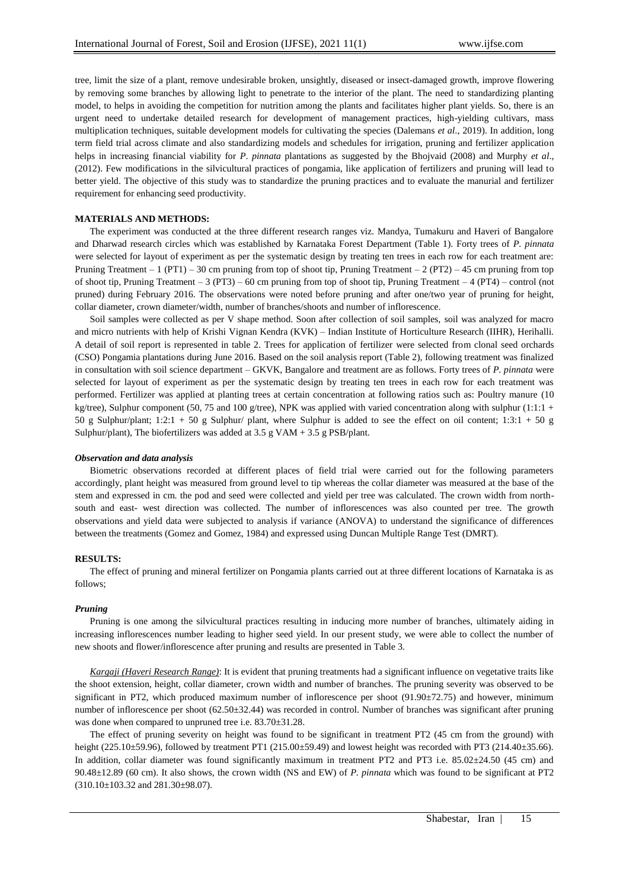tree, limit the size of a plant, remove undesirable broken, unsightly, diseased or insect-damaged growth, improve flowering by removing some branches by allowing light to penetrate to the interior of the plant. The need to standardizing planting model, to helps in avoiding the competition for nutrition among the plants and facilitates higher plant yields. So, there is an urgent need to undertake detailed research for development of management practices, high-yielding cultivars, mass multiplication techniques, suitable development models for cultivating the species (Dalemans *et al*., 2019). In addition, long term field trial across climate and also standardizing models and schedules for irrigation, pruning and fertilizer application helps in increasing financial viability for *P*. *pinnata* plantations as suggested by the Bhojvaid (2008) and Murphy *et al*., (2012). Few modifications in the silvicultural practices of pongamia, like application of fertilizers and pruning will lead to better yield. The objective of this study was to standardize the pruning practices and to evaluate the manurial and fertilizer requirement for enhancing seed productivity.

### **MATERIALS AND METHODS:**

The experiment was conducted at the three different research ranges viz. Mandya, Tumakuru and Haveri of Bangalore and Dharwad research circles which was established by Karnataka Forest Department (Table 1). Forty trees of *P. pinnata*  were selected for layout of experiment as per the systematic design by treating ten trees in each row for each treatment are: Pruning Treatment – 1 (PT1) – 30 cm pruning from top of shoot tip, Pruning Treatment – 2 (PT2) – 45 cm pruning from top of shoot tip, Pruning Treatment – 3 (PT3) – 60 cm pruning from top of shoot tip, Pruning Treatment – 4 (PT4) – control (not pruned) during February 2016. The observations were noted before pruning and after one/two year of pruning for height, collar diameter, crown diameter/width, number of branches/shoots and number of inflorescence.

Soil samples were collected as per V shape method. Soon after collection of soil samples, soil was analyzed for macro and micro nutrients with help of Krishi Vignan Kendra (KVK) – Indian Institute of Horticulture Research (IIHR), Herihalli. A detail of soil report is represented in table 2. Trees for application of fertilizer were selected from clonal seed orchards (CSO) Pongamia plantations during June 2016. Based on the soil analysis report (Table 2), following treatment was finalized in consultation with soil science department – GKVK, Bangalore and treatment are as follows. Forty trees of *P. pinnata* were selected for layout of experiment as per the systematic design by treating ten trees in each row for each treatment was performed. Fertilizer was applied at planting trees at certain concentration at following ratios such as: Poultry manure (10 kg/tree), Sulphur component (50, 75 and 100 g/tree), NPK was applied with varied concentration along with sulphur (1:1:1 + 50 g Sulphur/plant;  $1:2:1 + 50$  g Sulphur/ plant, where Sulphur is added to see the effect on oil content;  $1:3:1 + 50$  g Sulphur/plant), The biofertilizers was added at  $3.5$  g VAM +  $3.5$  g PSB/plant.

### *Observation and data analysis*

Biometric observations recorded at different places of field trial were carried out for the following parameters accordingly, plant height was measured from ground level to tip whereas the collar diameter was measured at the base of the stem and expressed in cm. the pod and seed were collected and yield per tree was calculated. The crown width from northsouth and east- west direction was collected. The number of inflorescences was also counted per tree. The growth observations and yield data were subjected to analysis if variance (ANOVA) to understand the significance of differences between the treatments (Gomez and Gomez, 1984) and expressed using Duncan Multiple Range Test (DMRT).

#### **RESULTS:**

The effect of pruning and mineral fertilizer on Pongamia plants carried out at three different locations of Karnataka is as follows;

### *Pruning*

Pruning is one among the silvicultural practices resulting in inducing more number of branches, ultimately aiding in increasing inflorescences number leading to higher seed yield. In our present study, we were able to collect the number of new shoots and flower/inflorescence after pruning and results are presented in Table 3.

*Kargaji (Haveri Research Range)*: It is evident that pruning treatments had a significant influence on vegetative traits like the shoot extension, height, collar diameter, crown width and number of branches. The pruning severity was observed to be significant in PT2, which produced maximum number of inflorescence per shoot  $(91.90\pm72.75)$  and however, minimum number of inflorescence per shoot (62.50±32.44) was recorded in control. Number of branches was significant after pruning was done when compared to unpruned tree i.e.  $83.70 \pm 31.28$ .

The effect of pruning severity on height was found to be significant in treatment PT2 (45 cm from the ground) with height  $(225.10\pm59.96)$ , followed by treatment PT1  $(215.00\pm59.49)$  and lowest height was recorded with PT3  $(214.40\pm35.66)$ . In addition, collar diameter was found significantly maximum in treatment PT2 and PT3 i.e. 85.02±24.50 (45 cm) and 90.48±12.89 (60 cm). It also shows, the crown width (NS and EW) of *P. pinnata* which was found to be significant at PT2 (310.10±103.32 and 281.30±98.07).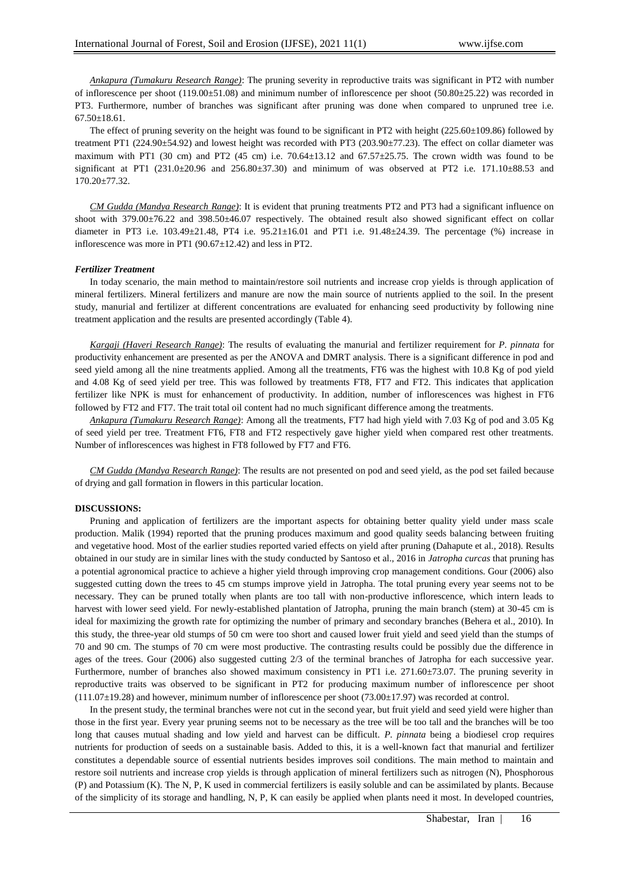*Ankapura (Tumakuru Research Range)*: The pruning severity in reproductive traits was significant in PT2 with number of inflorescence per shoot  $(119.00\pm51.08)$  and minimum number of inflorescence per shoot  $(50.80\pm25.22)$  was recorded in PT3. Furthermore, number of branches was significant after pruning was done when compared to unpruned tree i.e. 67.50±18.61.

The effect of pruning severity on the height was found to be significant in PT2 with height (225.60±109.86) followed by treatment PT1 (224.90±54.92) and lowest height was recorded with PT3 (203.90±77.23). The effect on collar diameter was maximum with PT1 (30 cm) and PT2 (45 cm) i.e.  $70.64\pm13.12$  and  $67.57\pm25.75$ . The crown width was found to be significant at PT1 (231.0±20.96 and 256.80±37.30) and minimum of was observed at PT2 i.e. 171.10±88.53 and 170.20±77.32.

*CM Gudda (Mandya Research Range)*: It is evident that pruning treatments PT2 and PT3 had a significant influence on shoot with 379.00±76.22 and 398.50±46.07 respectively. The obtained result also showed significant effect on collar diameter in PT3 i.e.  $103.49 \pm 21.48$ , PT4 i.e.  $95.21 \pm 16.01$  and PT1 i.e.  $91.48 \pm 24.39$ . The percentage (%) increase in inflorescence was more in PT1 (90.67±12.42) and less in PT2.

#### *Fertilizer Treatment*

In today scenario, the main method to maintain/restore soil nutrients and increase crop yields is through application of mineral fertilizers. Mineral fertilizers and manure are now the main source of nutrients applied to the soil. In the present study, manurial and fertilizer at different concentrations are evaluated for enhancing seed productivity by following nine treatment application and the results are presented accordingly (Table 4).

*Kargaji (Haveri Research Range)*: The results of evaluating the manurial and fertilizer requirement for *P. pinnata* for productivity enhancement are presented as per the ANOVA and DMRT analysis. There is a significant difference in pod and seed yield among all the nine treatments applied. Among all the treatments, FT6 was the highest with 10.8 Kg of pod yield and 4.08 Kg of seed yield per tree. This was followed by treatments FT8, FT7 and FT2. This indicates that application fertilizer like NPK is must for enhancement of productivity. In addition, number of inflorescences was highest in FT6 followed by FT2 and FT7. The trait total oil content had no much significant difference among the treatments.

*Ankapura (Tumakuru Research Range)*: Among all the treatments, FT7 had high yield with 7.03 Kg of pod and 3.05 Kg of seed yield per tree. Treatment FT6, FT8 and FT2 respectively gave higher yield when compared rest other treatments. Number of inflorescences was highest in FT8 followed by FT7 and FT6.

*CM Gudda (Mandya Research Range)*: The results are not presented on pod and seed yield, as the pod set failed because of drying and gall formation in flowers in this particular location.

## **DISCUSSIONS:**

Pruning and application of fertilizers are the important aspects for obtaining better quality yield under mass scale production. Malik (1994) reported that the pruning produces maximum and good quality seeds balancing between fruiting and vegetative hood. Most of the earlier studies reported varied effects on yield after pruning (Dahapute et al., 2018). Results obtained in our study are in similar lines with the study conducted by Santoso et al., 2016 in *Jatropha curcas* that pruning has a potential agronomical practice to achieve a higher yield through improving crop management conditions. Gour (2006) also suggested cutting down the trees to 45 cm stumps improve yield in Jatropha. The total pruning every year seems not to be necessary. They can be pruned totally when plants are too tall with non-productive inflorescence, which intern leads to harvest with lower seed yield. For newly-established plantation of Jatropha, pruning the main branch (stem) at 30-45 cm is ideal for maximizing the growth rate for optimizing the number of primary and secondary branches (Behera et al., 2010). In this study, the three-year old stumps of 50 cm were too short and caused lower fruit yield and seed yield than the stumps of 70 and 90 cm. The stumps of 70 cm were most productive. The contrasting results could be possibly due the difference in ages of the trees. Gour (2006) also suggested cutting 2/3 of the terminal branches of Jatropha for each successive year. Furthermore, number of branches also showed maximum consistency in PT1 i.e. 271.60±73.07. The pruning severity in reproductive traits was observed to be significant in PT2 for producing maximum number of inflorescence per shoot  $(111.07\pm19.28)$  and however, minimum number of inflorescence per shoot (73.00 $\pm$ 17.97) was recorded at control.

In the present study, the terminal branches were not cut in the second year, but fruit yield and seed yield were higher than those in the first year. Every year pruning seems not to be necessary as the tree will be too tall and the branches will be too long that causes mutual shading and low yield and harvest can be difficult. *P. pinnata* being a biodiesel crop requires nutrients for production of seeds on a sustainable basis. Added to this, it is a well-known fact that manurial and fertilizer constitutes a dependable source of essential nutrients besides improves soil conditions. The main method to maintain and restore soil nutrients and increase crop yields is through application of mineral fertilizers such as nitrogen (N), Phosphorous (P) and Potassium (K). The N, P, K used in commercial fertilizers is easily soluble and can be assimilated by plants. Because of the simplicity of its storage and handling, N, P, K can easily be applied when plants need it most. In developed countries,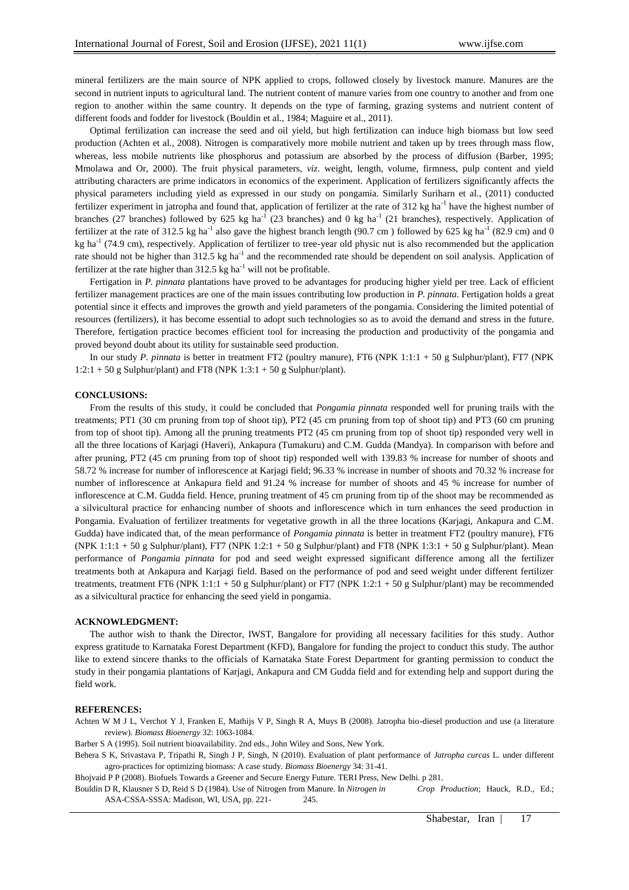mineral fertilizers are the main source of NPK applied to crops, followed closely by livestock manure. Manures are the second in nutrient inputs to agricultural land. The nutrient content of manure varies from one country to another and from one region to another within the same country. It depends on the type of farming, grazing systems and nutrient content of different foods and fodder for livestock (Bouldin et al., 1984; Maguire et al., 2011).

Optimal fertilization can increase the seed and oil yield, but high fertilization can induce high biomass but low seed production (Achten et al., 2008). Nitrogen is comparatively more mobile nutrient and taken up by trees through mass flow, whereas, less mobile nutrients like phosphorus and potassium are absorbed by the process of diffusion (Barber, 1995; Mmolawa and Or, 2000). The fruit physical parameters, *viz*. weight, length, volume, firmness, pulp content and yield attributing characters are prime indicators in economics of the experiment. Application of fertilizers significantly affects the physical parameters including yield as expressed in our study on pongamia. Similarly Suriharn et al., (2011) conducted fertilizer experiment in jatropha and found that, application of fertilizer at the rate of  $312 \text{ kg}$  ha<sup>-1</sup> have the highest number of branches (27 branches) followed by 625 kg ha<sup>-1</sup> (23 branches) and 0 kg ha<sup>-1</sup> (21 branches), respectively. Application of fertilizer at the rate of 312.5 kg ha<sup>-1</sup> also gave the highest branch length (90.7 cm) followed by 625 kg ha<sup>-1</sup> (82.9 cm) and 0 kg ha<sup>-1</sup> (74.9 cm), respectively. Application of fertilizer to tree-year old physic nut is also recommended but the application rate should not be higher than 312.5 kg ha<sup>-1</sup> and the recommended rate should be dependent on soil analysis. Application of fertilizer at the rate higher than  $312.5$  kg ha<sup>-1</sup> will not be profitable.

Fertigation in *P. pinnata* plantations have proved to be advantages for producing higher yield per tree. Lack of efficient fertilizer management practices are one of the main issues contributing low production in *P. pinnata*. Fertigation holds a great potential since it effects and improves the growth and yield parameters of the pongamia. Considering the limited potential of resources (fertilizers), it has become essential to adopt such technologies so as to avoid the demand and stress in the future. Therefore, fertigation practice becomes efficient tool for increasing the production and productivity of the pongamia and proved beyond doubt about its utility for sustainable seed production.

In our study *P. pinnata* is better in treatment FT2 (poultry manure), FT6 (NPK 1:1:1 + 50 g Sulphur/plant), FT7 (NPK 1:2:1 + 50 g Sulphur/plant) and FT8 (NPK 1:3:1 + 50 g Sulphur/plant).

# **CONCLUSIONS:**

From the results of this study, it could be concluded that *Pongamia pinnata* responded well for pruning trails with the treatments; PT1 (30 cm pruning from top of shoot tip), PT2 (45 cm pruning from top of shoot tip) and PT3 (60 cm pruning from top of shoot tip). Among all the pruning treatments PT2 (45 cm pruning from top of shoot tip) responded very well in all the three locations of Karjagi (Haveri), Ankapura (Tumakuru) and C.M. Gudda (Mandya). In comparison with before and after pruning, PT2 (45 cm pruning from top of shoot tip) responded well with 139.83 % increase for number of shoots and 58.72 % increase for number of inflorescence at Karjagi field; 96.33 % increase in number of shoots and 70.32 % increase for number of inflorescence at Ankapura field and 91.24 % increase for number of shoots and 45 % increase for number of inflorescence at C.M. Gudda field. Hence, pruning treatment of 45 cm pruning from tip of the shoot may be recommended as a silvicultural practice for enhancing number of shoots and inflorescence which in turn enhances the seed production in Pongamia. Evaluation of fertilizer treatments for vegetative growth in all the three locations (Karjagi, Ankapura and C.M. Gudda) have indicated that, of the mean performance of *Pongamia pinnata* is better in treatment FT2 (poultry manure), FT6 (NPK 1:1:1 + 50 g Sulphur/plant), FT7 (NPK 1:2:1 + 50 g Sulphur/plant) and FT8 (NPK 1:3:1 + 50 g Sulphur/plant). Mean performance of *Pongamia pinnata* for pod and seed weight expressed significant difference among all the fertilizer treatments both at Ankapura and Karjagi field. Based on the performance of pod and seed weight under different fertilizer treatments, treatment FT6 (NPK 1:1:1 + 50 g Sulphur/plant) or FT7 (NPK 1:2:1 + 50 g Sulphur/plant) may be recommended as a silvicultural practice for enhancing the seed yield in pongamia.

#### **ACKNOWLEDGMENT:**

The author wish to thank the Director, IWST, Bangalore for providing all necessary facilities for this study. Author express gratitude to Karnataka Forest Department (KFD), Bangalore for funding the project to conduct this study. The author like to extend sincere thanks to the officials of Karnataka State Forest Department for granting permission to conduct the study in their pongamia plantations of Karjagi, Ankapura and CM Gudda field and for extending help and support during the field work.

#### **REFERENCES:**

Achten W M J L, Verchot Y J, Franken E, Mathijs V P, Singh R A, Muys B (2008). Jatropha bio-diesel production and use (a literature review). *Biomass Bioenergy* 32: 1063-1084.

Barber S A (1995). Soil nutrient bioavailability. 2nd eds., John Wiley and Sons, New York.

Behera S K, Srivastava P, Tripathi R, Singh J P, Singh, N (2010). Evaluation of plant performance of *Jatropha curcas* L. under different agro-practices for optimizing biomass: A case study. *Biomass Bioenergy* 34: 31-41.

Bhojvaid P P (2008). Biofuels Towards a Greener and Secure Energy Future. TERI Press, New Delhi. p 281.

Bouldin D R, Klausner S D, Reid S D (1984). Use of Nitrogen from Manure. In *Nitrogen in Crop Production*; Hauck, R.D., Ed.; ASA-CSSA-SSSA: Madison, WI, USA, pp. 221-245.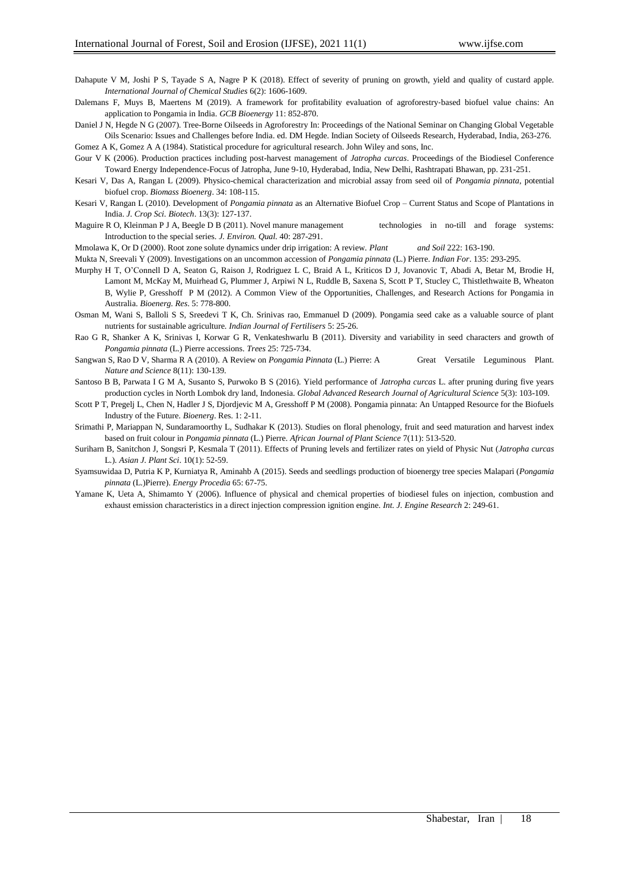- Dahapute V M, Joshi P S, Tayade S A, Nagre P K (2018). Effect of severity of pruning on growth, yield and quality of custard apple. *International Journal of Chemical Studies* 6(2): 1606-1609.
- Dalemans F, Muys B, Maertens M (2019). A framework for profitability evaluation of agroforestry-based biofuel value chains: An application to Pongamia in India. *GCB Bioenergy* 11: 852-870.
- Daniel J N, Hegde N G (2007). Tree-Borne Oilseeds in Agroforestry In: Proceedings of the National Seminar on Changing Global Vegetable Oils Scenario: Issues and Challenges before India. ed. DM Hegde. Indian Society of Oilseeds Research, Hyderabad, India, 263-276.

Gomez A K, Gomez A A (1984). Statistical procedure for agricultural research. John Wiley and sons, Inc.

- Gour V K (2006). Production practices including post-harvest management of *Jatropha curcas*. Proceedings of the Biodiesel Conference Toward Energy Independence-Focus of Jatropha, June 9-10, Hyderabad, India, New Delhi, Rashtrapati Bhawan, pp. 231-251.
- Kesari V, Das A, Rangan L (2009). Physico-chemical characterization and microbial assay from seed oil of *Pongamia pinnata*, potential biofuel crop. *Biomass Bioenerg*. 34: 108-115.
- Kesari V, Rangan L (2010). Development of *Pongamia pinnata* as an Alternative Biofuel Crop Current Status and Scope of Plantations in India. *J. Crop Sci. Biotech*. 13(3): 127-137.
- Maguire R O, Kleinman P J A, Beegle D B (2011). Novel manure management technologies in no-till and forage systems: Introduction to the special series. *J. Environ. Qual.* 40: 287-291.

Mmolawa K, Or D (2000). Root zone solute dynamics under drip irrigation: A review. *Plant and Soil* 222: 163-190.

- Mukta N, Sreevali Y (2009). Investigations on an uncommon accession of *Pongamia pinnata* (L.) Pierre. *Indian For*. 135: 293-295.
- Murphy H T, O'Connell D A, Seaton G, Raison J, Rodriguez L C, Braid A L, Kriticos D J, Jovanovic T, Abadi A, Betar M, Brodie H, Lamont M, McKay M, Muirhead G, Plummer J, Arpiwi N L, Ruddle B, Saxena S, Scott P T, Stucley C, Thistlethwaite B, Wheaton B, Wylie P, Gresshoff P M (2012). A Common View of the Opportunities, Challenges, and Research Actions for Pongamia in Australia. *Bioenerg. Res*. 5: 778-800.
- Osman M, Wani S, Balloli S S, Sreedevi T K, Ch. Srinivas rao, Emmanuel D (2009). Pongamia seed cake as a valuable source of plant nutrients for sustainable agriculture. *Indian Journal of Fertilisers* 5: 25-26.
- Rao G R, Shanker A K, Srinivas I, Korwar G R, Venkateshwarlu B (2011). Diversity and variability in seed characters and growth of *Pongamia pinnata* (L.) Pierre accessions. *Trees* 25: 725-734.
- Sangwan S, Rao D V, Sharma R A (2010). A Review on *Pongamia Pinnata* (L.) Pierre: A Great Versatile Leguminous Plant. *Nature and Science* 8(11): 130-139.
- Santoso B B, Parwata I G M A, Susanto S, Purwoko B S (2016). Yield performance of *Jatropha curcas* L. after pruning during five years production cycles in North Lombok dry land, Indonesia. *Global Advanced Research Journal of Agricultural Science* 5(3): 103-109.
- Scott P T, Pregelj L, Chen N, Hadler J S, Djordjevic M A, Gresshoff P M (2008). Pongamia pinnata: An Untapped Resource for the Biofuels Industry of the Future. *Bioenerg*. Res. 1: 2-11.
- Srimathi P, Mariappan N, Sundaramoorthy L, Sudhakar K (2013). Studies on floral phenology, fruit and seed maturation and harvest index based on fruit colour in *Pongamia pinnata* (L.) Pierre. *African Journal of Plant Science* 7(11): 513-520.
- Suriharn B, Sanitchon J, Songsri P, Kesmala T (2011). Effects of Pruning levels and fertilizer rates on yield of Physic Nut (*Jatropha curcas* L.). *Asian J. Plant Sci*. 10(1): 52-59.
- Syamsuwidaa D, Putria K P, Kurniatya R, Aminahb A (2015). Seeds and seedlings production of bioenergy tree species Malapari (*Pongamia pinnata* (L.)Pierre). *Energy Procedia* 65: 67-75.
- Yamane K, Ueta A, Shimamto Y (2006). Influence of physical and chemical properties of biodiesel fules on injection, combustion and exhaust emission characteristics in a direct injection compression ignition engine. *Int. J. Engine Research* 2: 249-61.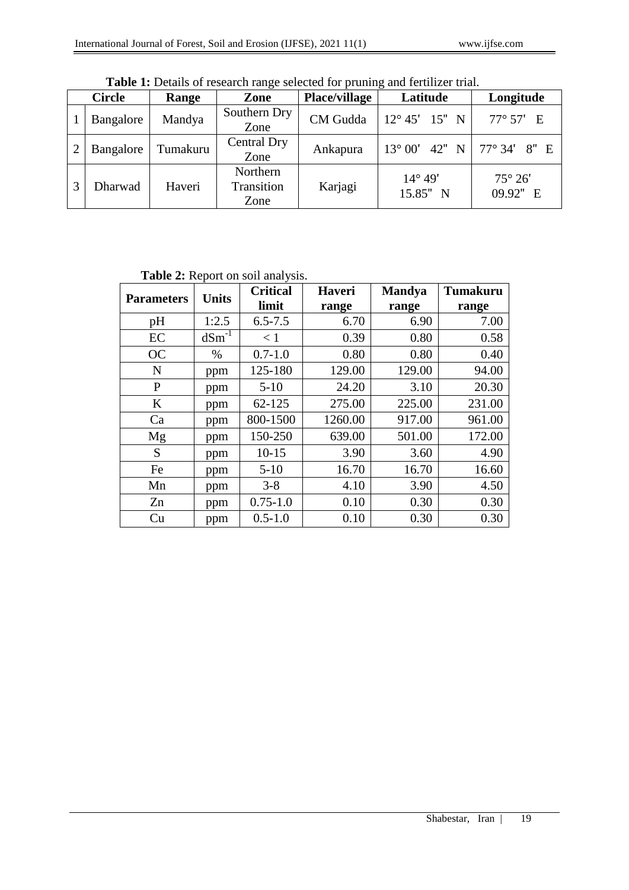|   | <b>Circle</b> | Range    | Zone                           | <b>Place/village</b> | Latitude                     | Longitude                  |
|---|---------------|----------|--------------------------------|----------------------|------------------------------|----------------------------|
|   | Bangalore     | Mandya   | Southern Dry<br>Zone           | CM Gudda             | $12^{\circ} 45'$ 15" N       | 77° 57' E                  |
|   | Bangalore     | Tumakuru | Central Dry<br>Zone            | Ankapura             | $13^{\circ} 00'$ 42" N       | $77^{\circ} 34' 8''$ E     |
| 3 | Dharwad       | Haveri   | Northern<br>Transition<br>Zone | Karjagi              | $14^{\circ} 49'$<br>15.85" N | $75^\circ 26'$<br>09.92" E |

Table 1: Details of research range selected for pruning and fertilizer trial.

**Table 2:** Report on soil analysis.

| <b>Parameters</b> | <b>Units</b> | <b>Critical</b> | <b>Haveri</b> | <b>Mandya</b> | <b>Tumakuru</b> |
|-------------------|--------------|-----------------|---------------|---------------|-----------------|
|                   |              | limit           | range         | range         | range           |
| pH                | 1:2.5        | $6.5 - 7.5$     | 6.70          | 6.90          | 7.00            |
| EC                | $dSm^{-1}$   | < 1             | 0.39          | 0.80          | 0.58            |
| <b>OC</b>         | $\%$         | $0.7 - 1.0$     | 0.80          | 0.80          | 0.40            |
| N                 | ppm          | 125-180         | 129.00        | 129.00        | 94.00           |
| P                 | ppm          | $5 - 10$        | 24.20         | 3.10          | 20.30           |
| $\bf K$           | ppm          | 62-125          | 275.00        | 225.00        | 231.00          |
| Ca                | ppm          | 800-1500        | 1260.00       | 917.00        | 961.00          |
| Mg                | ppm          | 150-250         | 639.00        | 501.00        | 172.00          |
| S                 | ppm          | $10 - 15$       | 3.90          | 3.60          | 4.90            |
| Fe                | ppm          | $5 - 10$        | 16.70         | 16.70         | 16.60           |
| Mn                | ppm          | $3 - 8$         | 4.10          | 3.90          | 4.50            |
| Zn                | ppm          | $0.75 - 1.0$    | 0.10          | 0.30          | 0.30            |
| Cu                | ppm          | $0.5 - 1.0$     | 0.10          | 0.30          | 0.30            |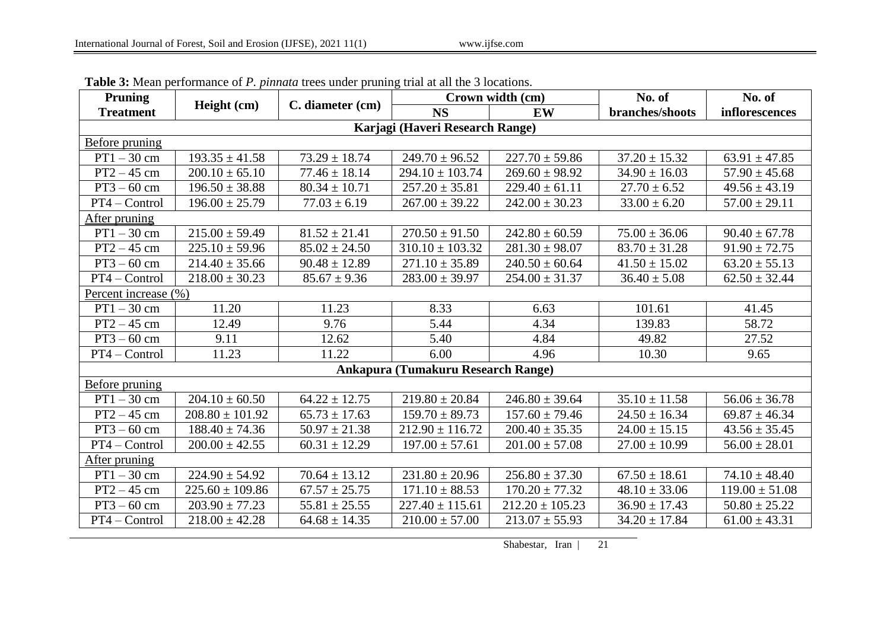| <b>Pruning</b>                            | Height (cm)         | C. diameter (cm)  | Crown width (cm)                |                     | No. of            | No. of             |  |  |
|-------------------------------------------|---------------------|-------------------|---------------------------------|---------------------|-------------------|--------------------|--|--|
| <b>Treatment</b>                          |                     |                   | <b>NS</b>                       | <b>EW</b>           | branches/shoots   | inflorescences     |  |  |
|                                           |                     |                   | Karjagi (Haveri Research Range) |                     |                   |                    |  |  |
| <b>Before pruning</b>                     |                     |                   |                                 |                     |                   |                    |  |  |
| $PT1 - 30$ cm                             | $193.35 \pm 41.58$  | $73.29 \pm 18.74$ | $249.70 \pm 96.52$              | $227.70 \pm 59.86$  | $37.20 \pm 15.32$ | $63.91 \pm 47.85$  |  |  |
| $PT2 - 45$ cm                             | $200.10 \pm 65.10$  | $77.46 \pm 18.14$ | $294.10 \pm 103.74$             | $269.60 \pm 98.92$  | $34.90 \pm 16.03$ | $57.90 \pm 45.68$  |  |  |
| $PT3 - 60$ cm                             | $196.50 \pm 38.88$  | $80.34 \pm 10.71$ | $257.20 \pm 35.81$              | $229.40 \pm 61.11$  | $27.70 \pm 6.52$  | $49.56 \pm 43.19$  |  |  |
| PT4 - Control                             | $196.00 \pm 25.79$  | $77.03 \pm 6.19$  | $267.00 \pm 39.22$              | $242.00 \pm 30.23$  | $33.00 \pm 6.20$  | $57.00 \pm 29.11$  |  |  |
| After pruning                             |                     |                   |                                 |                     |                   |                    |  |  |
| $PT1 - 30$ cm                             | $215.00 \pm 59.49$  | $81.52 \pm 21.41$ | $270.50 \pm 91.50$              | $242.80 \pm 60.59$  | $75.00 \pm 36.06$ | $90.40 \pm 67.78$  |  |  |
| $PT2-45$ cm                               | $225.10 \pm 59.96$  | $85.02 \pm 24.50$ | $310.10 \pm 103.32$             | $281.30 \pm 98.07$  | $83.70 \pm 31.28$ | $91.90 \pm 72.75$  |  |  |
| $PT3 - 60$ cm                             | $214.40 \pm 35.66$  | $90.48 \pm 12.89$ | $271.10 \pm 35.89$              | $240.50 \pm 60.64$  | $41.50 \pm 15.02$ | $63.20 \pm 55.13$  |  |  |
| PT4 - Control                             | $218.00 \pm 30.23$  | $85.67 \pm 9.36$  | $283.00 \pm 39.97$              | $254.00 \pm 31.37$  | $36.40 \pm 5.08$  | $62.50 \pm 32.44$  |  |  |
| Percent increase (%)                      |                     |                   |                                 |                     |                   |                    |  |  |
| $PT1 - 30$ cm                             | 11.20               | 11.23             | 8.33                            | 6.63                | 101.61            | 41.45              |  |  |
| $PT2 - 45$ cm                             | 12.49               | 9.76              | 5.44                            | 4.34                | 139.83            | 58.72              |  |  |
| $PT3 - 60$ cm                             | 9.11                | 12.62             | 5.40                            | 4.84                | 49.82             | 27.52              |  |  |
| PT4 - Control                             | 11.23               | 11.22             | 6.00                            | 4.96                | 10.30             | 9.65               |  |  |
| <b>Ankapura (Tumakuru Research Range)</b> |                     |                   |                                 |                     |                   |                    |  |  |
| <b>Before pruning</b>                     |                     |                   |                                 |                     |                   |                    |  |  |
| $PT1 - 30$ cm                             | $204.10 \pm 60.50$  | $64.22 \pm 12.75$ | $219.80 \pm 20.84$              | $246.80 \pm 39.64$  | $35.10 \pm 11.58$ | $56.06 \pm 36.78$  |  |  |
| $PT2 - 45$ cm                             | $208.80 \pm 101.92$ | $65.73 \pm 17.63$ | $159.70 \pm 89.73$              | $157.60 \pm 79.46$  | $24.50 \pm 16.34$ | $69.87 \pm 46.34$  |  |  |
| $PT3 - 60$ cm                             | $188.40 \pm 74.36$  | $50.97 \pm 21.38$ | $212.90 \pm 116.72$             | $200.40 \pm 35.35$  | $24.00 \pm 15.15$ | $43.56 \pm 35.45$  |  |  |
| PT4 - Control                             | $200.00 \pm 42.55$  | $60.31 \pm 12.29$ | $197.00 \pm 57.61$              | $201.00 \pm 57.08$  | $27.00 \pm 10.99$ | $56.00 \pm 28.01$  |  |  |
| After pruning                             |                     |                   |                                 |                     |                   |                    |  |  |
| $PT1 - 30$ cm                             | $224.90 \pm 54.92$  | $70.64 \pm 13.12$ | $231.80 \pm 20.96$              | $256.80 \pm 37.30$  | $67.50 \pm 18.61$ | $74.10 \pm 48.40$  |  |  |
| $PT2 - 45$ cm                             | $225.60 \pm 109.86$ | $67.57 \pm 25.75$ | $171.10 \pm 88.53$              | $170.20 \pm 77.32$  | $48.10 \pm 33.06$ | $119.00 \pm 51.08$ |  |  |
| $PT3 - 60$ cm                             | $203.90 \pm 77.23$  | $55.81 \pm 25.55$ | $227.40 \pm 115.61$             | $212.20 \pm 105.23$ | $36.90 \pm 17.43$ | $50.80 \pm 25.22$  |  |  |
| PT4 - Control                             | $218.00 \pm 42.28$  | $64.68 \pm 14.35$ | $210.00 \pm 57.00$              | $213.07 \pm 55.93$  | $34.20 \pm 17.84$ | $61.00 \pm 43.31$  |  |  |

**Table 3:** Mean performance of *P. pinnata* trees under pruning trial at all the 3 locations.

Shabestar, Iran | 21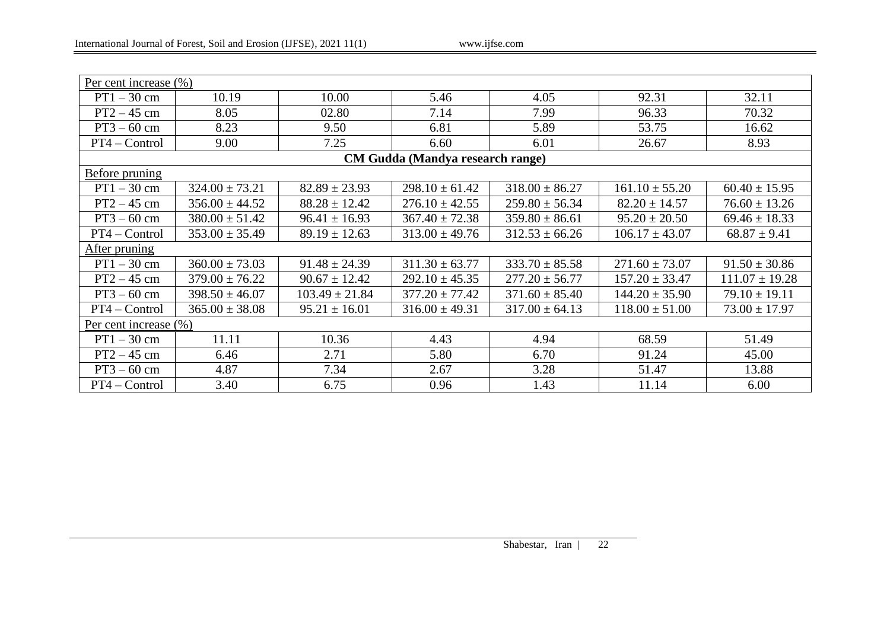| Per cent increase (%) |                    |                    |                                  |                    |                    |                    |  |
|-----------------------|--------------------|--------------------|----------------------------------|--------------------|--------------------|--------------------|--|
| $PT1 - 30$ cm         | 10.19              | 10.00              | 5.46                             | 4.05               | 92.31              | 32.11              |  |
| $PT2 - 45$ cm         | 8.05               | 02.80              | 7.14                             | 7.99               | 96.33              | 70.32              |  |
| $PT3 - 60$ cm         | 8.23               | 9.50               | 6.81                             | 5.89               | 53.75              | 16.62              |  |
| PT4 - Control         | 9.00               | 7.25               | 6.60                             | 6.01               | 26.67              | 8.93               |  |
|                       |                    |                    | CM Gudda (Mandya research range) |                    |                    |                    |  |
| Before pruning        |                    |                    |                                  |                    |                    |                    |  |
| $PT1 - 30$ cm         | $324.00 \pm 73.21$ | $82.89 \pm 23.93$  | $298.10 \pm 61.42$               | $318.00 \pm 86.27$ | $161.10 \pm 55.20$ | $60.40 \pm 15.95$  |  |
| $PT2 - 45$ cm         | $356.00 \pm 44.52$ | $88.28 \pm 12.42$  | $276.10 \pm 42.55$               | $259.80 \pm 56.34$ | $82.20 \pm 14.57$  | $76.60 \pm 13.26$  |  |
| $PT3 - 60$ cm         | $380.00 \pm 51.42$ | $96.41 \pm 16.93$  | $367.40 \pm 72.38$               | $359.80 \pm 86.61$ | $95.20 \pm 20.50$  | $69.46 \pm 18.33$  |  |
| PT4 - Control         | $353.00 \pm 35.49$ | $89.19 \pm 12.63$  | $313.00 \pm 49.76$               | $312.53 \pm 66.26$ | $106.17 \pm 43.07$ | $68.87 \pm 9.41$   |  |
| After pruning         |                    |                    |                                  |                    |                    |                    |  |
| $PT1 - 30$ cm         | $360.00 \pm 73.03$ | $91.48 \pm 24.39$  | $311.30 \pm 63.77$               | $333.70 \pm 85.58$ | $271.60 \pm 73.07$ | $91.50 \pm 30.86$  |  |
| $PT2 - 45$ cm         | $379.00 \pm 76.22$ | $90.67 \pm 12.42$  | $292.10 \pm 45.35$               | $277.20 \pm 56.77$ | $157.20 \pm 33.47$ | $111.07 \pm 19.28$ |  |
| $PT3 - 60$ cm         | $398.50 \pm 46.07$ | $103.49 \pm 21.84$ | $377.20 \pm 77.42$               | $371.60 \pm 85.40$ | $144.20 \pm 35.90$ | $79.10 \pm 19.11$  |  |
| PT4 - Control         | $365.00 \pm 38.08$ | $95.21 \pm 16.01$  | $316.00 \pm 49.31$               | $317.00 \pm 64.13$ | $118.00 \pm 51.00$ | $73.00 \pm 17.97$  |  |
| Per cent increase (%) |                    |                    |                                  |                    |                    |                    |  |
| $PT1 - 30$ cm         | 11.11              | 10.36              | 4.43                             | 4.94               | 68.59              | 51.49              |  |
| $PT2 - 45$ cm         | 6.46               | 2.71               | 5.80                             | 6.70               | 91.24              | 45.00              |  |
| $PT3 - 60$ cm         | 4.87               | 7.34               | 2.67                             | 3.28               | 51.47              | 13.88              |  |
| PT4 - Control         | 3.40               | 6.75               | 0.96                             | 1.43               | 11.14              | 6.00               |  |